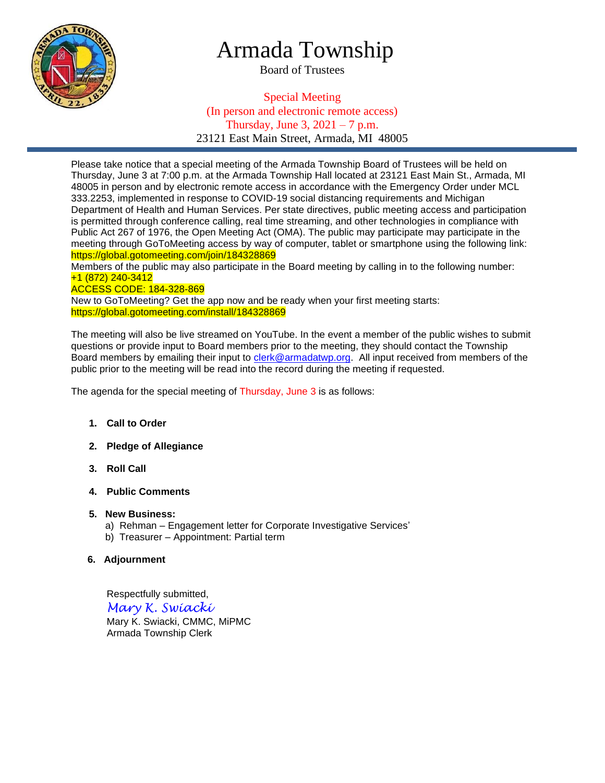

## Armada Township

Board of Trustees

Special Meeting (In person and electronic remote access) Thursday, June 3,  $2021 - 7$  p.m. 23121 East Main Street, Armada, MI 48005

Please take notice that a special meeting of the Armada Township Board of Trustees will be held on Thursday, June 3 at 7:00 p.m. at the Armada Township Hall located at 23121 East Main St., Armada, MI 48005 in person and by electronic remote access in accordance with the Emergency Order under MCL 333.2253, implemented in response to COVID-19 social distancing requirements and Michigan Department of Health and Human Services. Per state directives, public meeting access and participation is permitted through conference calling, real time streaming, and other technologies in compliance with Public Act 267 of 1976, the Open Meeting Act (OMA). The public may participate may participate in the meeting through GoToMeeting access by way of computer, tablet or smartphone using the following link: https://global.gotomeeting.com/join/184328869

Members of the public may also participate in the Board meeting by calling in to the following number: +1 (872) 240-3412

## ACCESS CODE: 184-328-869

New to GoToMeeting? Get the app now and be ready when your first meeting starts: https://global.gotomeeting.com/install/184328869

The meeting will also be live streamed on YouTube. In the event a member of the public wishes to submit questions or provide input to Board members prior to the meeting, they should contact the Township Board members by emailing their input to [clerk@armadatwp.org.](mailto:clerk@armadatwp.org) All input received from members of the public prior to the meeting will be read into the record during the meeting if requested.

The agenda for the special meeting of Thursday, June 3 is as follows:

- **1. Call to Order**
- **2. Pledge of Allegiance**
- **3. Roll Call**
- **4. Public Comments**

#### **5. New Business:**

- a) Rehman Engagement letter for Corporate Investigative Services'
- b) Treasurer Appointment: Partial term

## **6. Adjournment**

 Respectfully submitted, *Mary K. Swiacki* Mary K. Swiacki, CMMC, MiPMC Armada Township Clerk